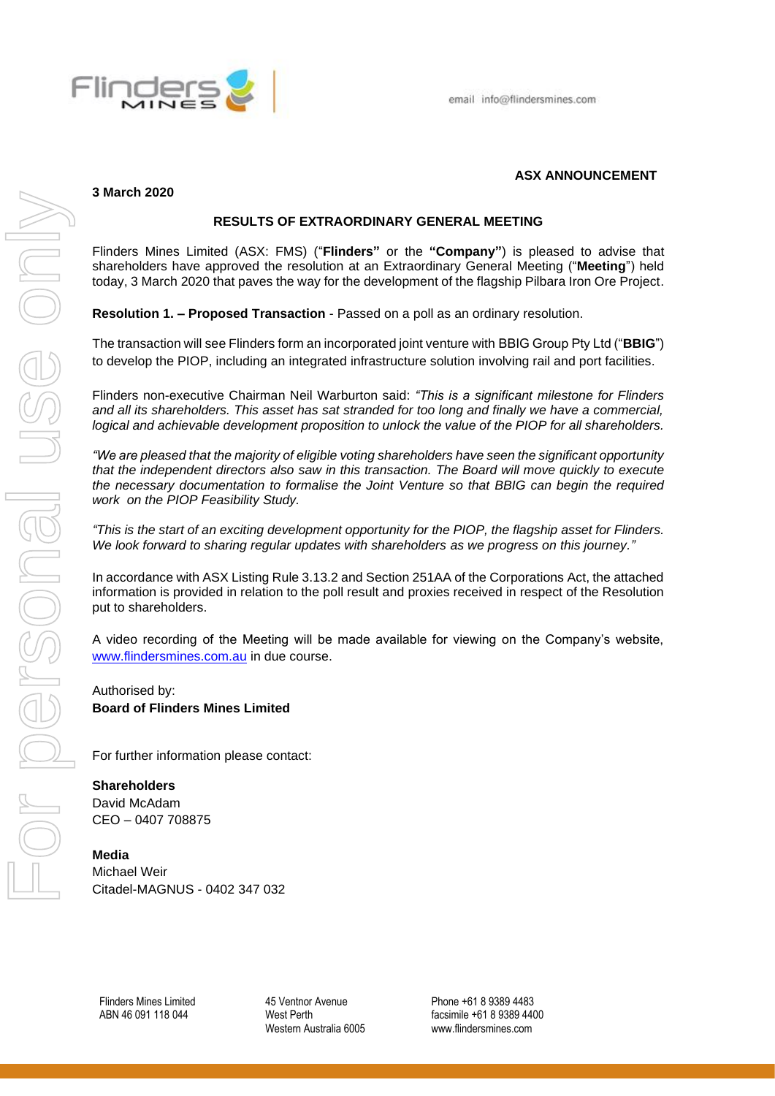

## **3 March 2020**

## **ASX ANNOUNCEMENT**

# **RESULTS OF EXTRAORDINARY GENERAL MEETING**

Flinders Mines Limited (ASX: FMS) ("**Flinders"** or the **"Company"**) is pleased to advise that shareholders have approved the resolution at an Extraordinary General Meeting ("**Meeting**") held today, 3 March 2020 that paves the way for the development of the flagship Pilbara Iron Ore Project.

**Resolution 1. – Proposed Transaction** - Passed on a poll as an ordinary resolution.

The transaction will see Flinders form an incorporated joint venture with BBIG Group Pty Ltd ("**BBIG**") to develop the PIOP, including an integrated infrastructure solution involving rail and port facilities.

Flinders non-executive Chairman Neil Warburton said: *"This is a significant milestone for Flinders and all its shareholders. This asset has sat stranded for too long and finally we have a commercial, logical and achievable development proposition to unlock the value of the PIOP for all shareholders.*

*"We are pleased that the majority of eligible voting shareholders have seen the significant opportunity that the independent directors also saw in this transaction. The Board will move quickly to execute the necessary documentation to formalise the Joint Venture so that BBIG can begin the required work on the PIOP Feasibility Study.*

*"This is the start of an exciting development opportunity for the PIOP, the flagship asset for Flinders. We look forward to sharing regular updates with shareholders as we progress on this journey."*

In accordance with ASX Listing Rule 3.13.2 and Section 251AA of the Corporations Act, the attached information is provided in relation to the poll result and proxies received in respect of the Resolution put to shareholders.

A video recording of the Meeting will be made available for viewing on the Company's website, [www.flindersmines.com.au](http://www.flindersmines.com.au/) in due course.

Authorised by: **Board of Flinders Mines Limited**

For further information please contact:

## **Shareholders**

David McAdam CEO – 0407 708875

## **Media**

Michael Weir Citadel-MAGNUS - 0402 347 032

Flinders Mines Limited ABN 46 091 118 044

45 Ventnor Avenue West Perth Western Australia 6005

Phone +61 8 9389 4483 facsimile +61 8 9389 4400 www.flindersmines.com